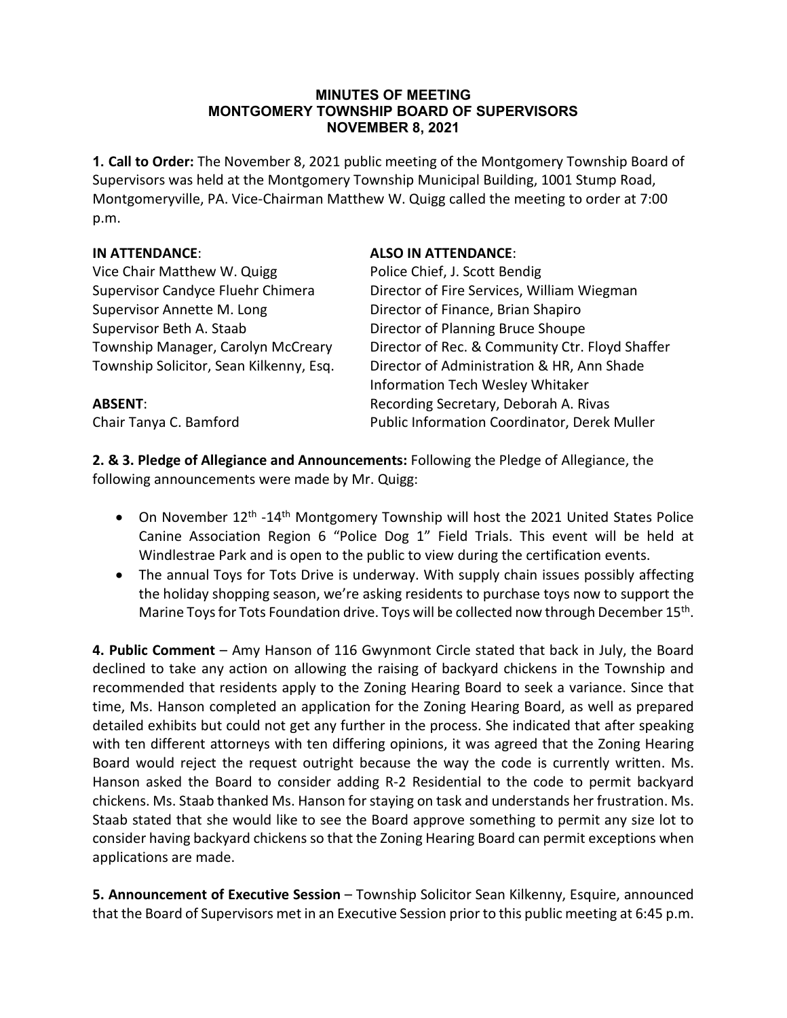#### **MINUTES OF MEETING MONTGOMERY TOWNSHIP BOARD OF SUPERVISORS NOVEMBER 8, 2021**

**1. Call to Order:** The November 8, 2021 public meeting of the Montgomery Township Board of Supervisors was held at the Montgomery Township Municipal Building, 1001 Stump Road, Montgomeryville, PA. Vice-Chairman Matthew W. Quigg called the meeting to order at 7:00 p.m.

Vice Chair Matthew W. Quigg Police Chief, J. Scott Bendig Supervisor Annette M. Long Director of Finance, Brian Shapiro Supervisor Beth A. Staab Director of Planning Bruce Shoupe

## **IN ATTENDANCE**: **ALSO IN ATTENDANCE**:

Supervisor Candyce Fluehr Chimera Director of Fire Services, William Wiegman Township Manager, Carolyn McCreary Director of Rec. & Community Ctr. Floyd Shaffer Township Solicitor, Sean Kilkenny, Esq. Director of Administration & HR, Ann Shade Information Tech Wesley Whitaker **ABSENT:** Recording Secretary, Deborah A. Rivas Chair Tanya C. Bamford Public Information Coordinator, Derek Muller

**2. & 3. Pledge of Allegiance and Announcements:** Following the Pledge of Allegiance, the following announcements were made by Mr. Quigg:

- On November  $12<sup>th</sup> -14<sup>th</sup>$  Montgomery Township will host the 2021 United States Police Canine Association Region 6 "Police Dog 1" Field Trials. This event will be held at Windlestrae Park and is open to the public to view during the certification events.
- The annual Toys for Tots Drive is underway. With supply chain issues possibly affecting the holiday shopping season, we're asking residents to purchase toys now to support the Marine Toys for Tots Foundation drive. Toys will be collected now through December 15<sup>th</sup>.

**4. Public Comment** – Amy Hanson of 116 Gwynmont Circle stated that back in July, the Board declined to take any action on allowing the raising of backyard chickens in the Township and recommended that residents apply to the Zoning Hearing Board to seek a variance. Since that time, Ms. Hanson completed an application for the Zoning Hearing Board, as well as prepared detailed exhibits but could not get any further in the process. She indicated that after speaking with ten different attorneys with ten differing opinions, it was agreed that the Zoning Hearing Board would reject the request outright because the way the code is currently written. Ms. Hanson asked the Board to consider adding R-2 Residential to the code to permit backyard chickens. Ms. Staab thanked Ms. Hanson for staying on task and understands her frustration. Ms. Staab stated that she would like to see the Board approve something to permit any size lot to consider having backyard chickens so that the Zoning Hearing Board can permit exceptions when applications are made.

**5. Announcement of Executive Session** – Township Solicitor Sean Kilkenny, Esquire, announced that the Board of Supervisors met in an Executive Session prior to this public meeting at 6:45 p.m.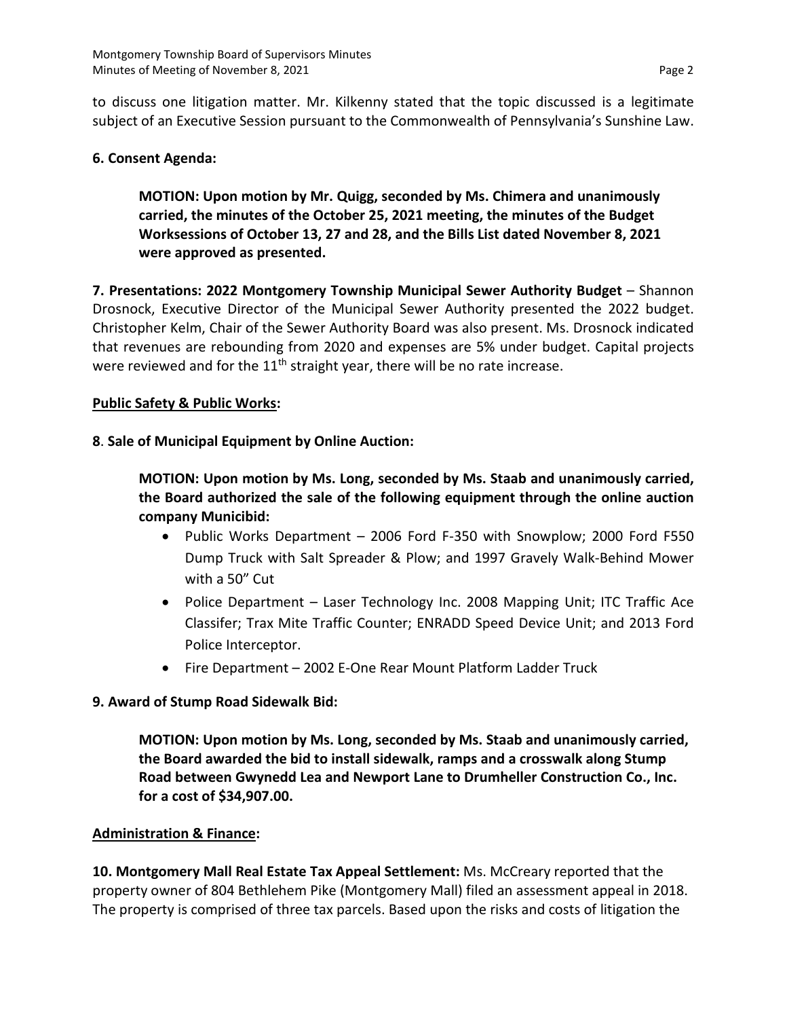to discuss one litigation matter. Mr. Kilkenny stated that the topic discussed is a legitimate subject of an Executive Session pursuant to the Commonwealth of Pennsylvania's Sunshine Law.

### **6. Consent Agenda:**

**MOTION: Upon motion by Mr. Quigg, seconded by Ms. Chimera and unanimously carried, the minutes of the October 25, 2021 meeting, the minutes of the Budget Worksessions of October 13, 27 and 28, and the Bills List dated November 8, 2021 were approved as presented.**

**7. Presentations: 2022 Montgomery Township Municipal Sewer Authority Budget** – Shannon Drosnock, Executive Director of the Municipal Sewer Authority presented the 2022 budget. Christopher Kelm, Chair of the Sewer Authority Board was also present. Ms. Drosnock indicated that revenues are rebounding from 2020 and expenses are 5% under budget. Capital projects were reviewed and for the  $11<sup>th</sup>$  straight year, there will be no rate increase.

## **Public Safety & Public Works:**

## **8**. **Sale of Municipal Equipment by Online Auction:**

**MOTION: Upon motion by Ms. Long, seconded by Ms. Staab and unanimously carried, the Board authorized the sale of the following equipment through the online auction company Municibid:**

- Public Works Department 2006 Ford F-350 with Snowplow; 2000 Ford F550 Dump Truck with Salt Spreader & Plow; and 1997 Gravely Walk-Behind Mower with a 50" Cut
- Police Department Laser Technology Inc. 2008 Mapping Unit; ITC Traffic Ace Classifer; Trax Mite Traffic Counter; ENRADD Speed Device Unit; and 2013 Ford Police Interceptor.
- Fire Department 2002 E-One Rear Mount Platform Ladder Truck

#### **9. Award of Stump Road Sidewalk Bid:**

**MOTION: Upon motion by Ms. Long, seconded by Ms. Staab and unanimously carried, the Board awarded the bid to install sidewalk, ramps and a crosswalk along Stump Road between Gwynedd Lea and Newport Lane to Drumheller Construction Co., Inc. for a cost of \$34,907.00.**

#### **Administration & Finance:**

**10. Montgomery Mall Real Estate Tax Appeal Settlement:** Ms. McCreary reported that the property owner of 804 Bethlehem Pike (Montgomery Mall) filed an assessment appeal in 2018. The property is comprised of three tax parcels. Based upon the risks and costs of litigation the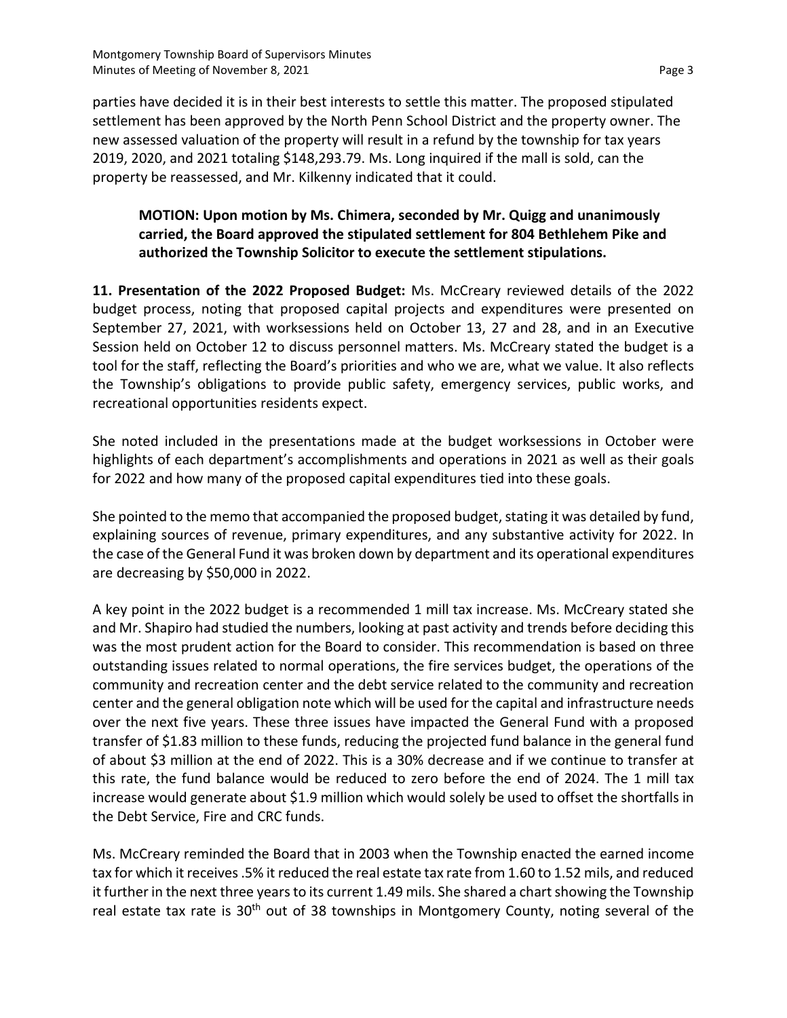parties have decided it is in their best interests to settle this matter. The proposed stipulated settlement has been approved by the North Penn School District and the property owner. The new assessed valuation of the property will result in a refund by the township for tax years 2019, 2020, and 2021 totaling \$148,293.79. Ms. Long inquired if the mall is sold, can the property be reassessed, and Mr. Kilkenny indicated that it could.

# **MOTION: Upon motion by Ms. Chimera, seconded by Mr. Quigg and unanimously carried, the Board approved the stipulated settlement for 804 Bethlehem Pike and authorized the Township Solicitor to execute the settlement stipulations.**

**11. Presentation of the 2022 Proposed Budget:** Ms. McCreary reviewed details of the 2022 budget process, noting that proposed capital projects and expenditures were presented on September 27, 2021, with worksessions held on October 13, 27 and 28, and in an Executive Session held on October 12 to discuss personnel matters. Ms. McCreary stated the budget is a tool for the staff, reflecting the Board's priorities and who we are, what we value. It also reflects the Township's obligations to provide public safety, emergency services, public works, and recreational opportunities residents expect.

She noted included in the presentations made at the budget worksessions in October were highlights of each department's accomplishments and operations in 2021 as well as their goals for 2022 and how many of the proposed capital expenditures tied into these goals.

She pointed to the memo that accompanied the proposed budget, stating it was detailed by fund, explaining sources of revenue, primary expenditures, and any substantive activity for 2022. In the case of the General Fund it was broken down by department and its operational expenditures are decreasing by \$50,000 in 2022.

A key point in the 2022 budget is a recommended 1 mill tax increase. Ms. McCreary stated she and Mr. Shapiro had studied the numbers, looking at past activity and trends before deciding this was the most prudent action for the Board to consider. This recommendation is based on three outstanding issues related to normal operations, the fire services budget, the operations of the community and recreation center and the debt service related to the community and recreation center and the general obligation note which will be used for the capital and infrastructure needs over the next five years. These three issues have impacted the General Fund with a proposed transfer of \$1.83 million to these funds, reducing the projected fund balance in the general fund of about \$3 million at the end of 2022. This is a 30% decrease and if we continue to transfer at this rate, the fund balance would be reduced to zero before the end of 2024. The 1 mill tax increase would generate about \$1.9 million which would solely be used to offset the shortfalls in the Debt Service, Fire and CRC funds.

Ms. McCreary reminded the Board that in 2003 when the Township enacted the earned income tax for which it receives .5% it reduced the real estate tax rate from 1.60 to 1.52 mils, and reduced it further in the next three years to its current 1.49 mils. She shared a chart showing the Township real estate tax rate is 30<sup>th</sup> out of 38 townships in Montgomery County, noting several of the